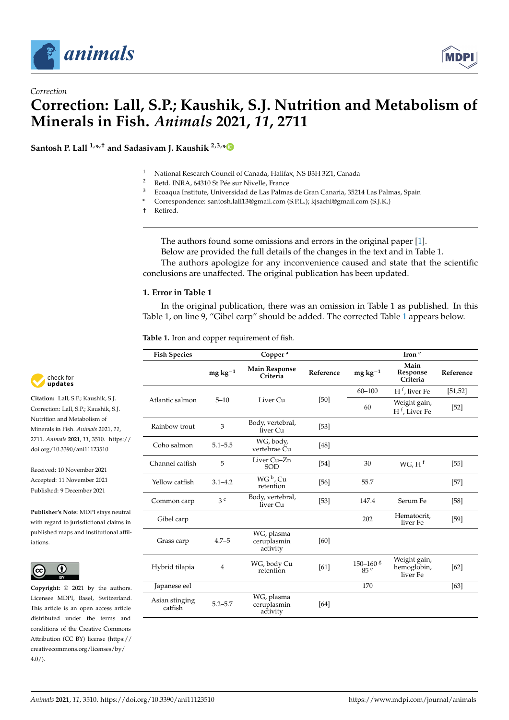



# *Correction* **Correction: Lall, S.P.; Kaushik, S.J. Nutrition and Metabolism of Minerals in Fish.** *Animals* **2021,** *11***, 2711**

**Santosh P. Lall 1,\* ,† and Sadasivam J. Kaushik 2,3,[\\*](https://orcid.org/0000-0001-7856-8374)**



- <sup>2</sup> Retd. INRA, 64310 St Pée sur Nivelle, France<br><sup>3</sup> Ecoasya Institute, Universidad de Las Palma
- <sup>3</sup> Ecoaqua Institute, Universidad de Las Palmas de Gran Canaria, 35214 Las Palmas, Spain
- **\*** Correspondence: santosh.lall13@gmail.com (S.P.L.); kjsachi@gmail.com (S.J.K.)
- † Retired.

The authors found some omissions and errors in the original paper [\[1\]](#page-4-0). Below are provided the full details of the changes in the text and in Table 1.

The authors apologize for any inconvenience caused and state that the scientific conclusions are unaffected. The original publication has been updated.

#### **1. Error in Table 1**

In the original publication, there was an omission in Table 1 as published. In this Table 1, on line 9, "Gibel carp" should be added. The corrected Table [1](#page-1-0) appears below.

**Table 1.** Iron and copper requirement of fish.

| <b>Fish Species</b>       |                | Copper <sup>a</sup>                   |           |                                             | Iron <sup>e</sup>                         |           |
|---------------------------|----------------|---------------------------------------|-----------|---------------------------------------------|-------------------------------------------|-----------|
|                           | $mg\,kg^{-1}$  | <b>Main Response</b><br>Criteria      | Reference | $mg\,kg^{-1}$                               | Main<br>Response<br>Criteria              | Reference |
| Atlantic salmon           | $5 - 10$       | Liver Cu                              | [50]      | $60 - 100$                                  | $\mathbf{H}^\text{f}$ , liver Fe          | [51, 52]  |
|                           |                |                                       |           | 60                                          | Weight gain,<br>H <sup>f</sup> , Liver Fe | $[52]$    |
| Rainbow trout             | 3              | Body, vertebral,<br>liver Cu          | $[53]$    |                                             |                                           |           |
| Coho salmon               | $5.1 - 5.5$    | WG, body,<br>vertebrae Cu             | [48]      |                                             |                                           |           |
| Channel catfish           | 5              | Liver Cu-Zn<br><b>SOD</b>             | $[54]$    | 30                                          | WG, H <sup>f</sup>                        | $[55]$    |
| Yellow catfish            | $3.1 - 4.2$    | WG <sub>b</sub> , Cu<br>retention     | [56]      | 55.7                                        |                                           | $[57]$    |
| Common carp               | 3 <sup>c</sup> | Body, vertebral,<br>liver Cu          | $[53]$    | 147.4                                       | Serum Fe                                  | $[58]$    |
| Gibel carp                |                |                                       |           | 202                                         | Hematocrit,<br>liver Fe                   | [59]      |
| Grass carp                | $4.7 - 5$      | WG, plasma<br>ceruplasmin<br>activity | [60]      |                                             |                                           |           |
| Hybrid tilapia            | $\overline{4}$ | WG, body Cu<br>retention              | [61]      | $150 - 160$ <sup>g</sup><br>85 <sup>e</sup> | Weight gain,<br>hemoglobin,<br>liver Fe   | [62]      |
| Japanese eel              |                |                                       |           | 170                                         |                                           | [63]      |
| Asian stinging<br>catfish | $5.2 - 5.7$    | WG, plasma<br>ceruplasmin<br>activity | [64]      |                                             |                                           |           |



**Citation:** Lall, S.P.; Kaushik, S.J. Correction: Lall, S.P.; Kaushik, S.J. Nutrition and Metabolism of Minerals in Fish. *Animals* 2021, *11*, 2711. *Animals* **2021**, *11*, 3510. [https://](https://doi.org/10.3390/ani11123510) [doi.org/10.3390/ani11123510](https://doi.org/10.3390/ani11123510)

Received: 10 November 2021 Accepted: 11 November 2021 Published: 9 December 2021

**Publisher's Note:** MDPI stays neutral with regard to jurisdictional claims in published maps and institutional affiliations.



**Copyright:** © 2021 by the authors. Licensee MDPI, Basel, Switzerland. This article is an open access article distributed under the terms and conditions of the Creative Commons Attribution (CC BY) license (https:/[/](https://creativecommons.org/licenses/by/4.0/) [creativecommons.org/licenses/by/](https://creativecommons.org/licenses/by/4.0/) 4.0/).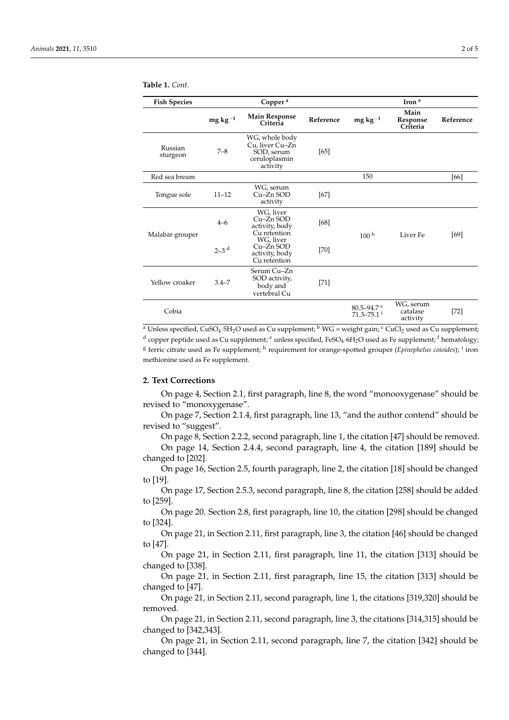| <b>Fish Species</b> |                    | Copper <sup>a</sup>                                                          |           |                                                    | Iron <sup>e</sup>                 |           |
|---------------------|--------------------|------------------------------------------------------------------------------|-----------|----------------------------------------------------|-----------------------------------|-----------|
|                     | mg $\rm kg^{-1}$   | <b>Main Response</b><br>Criteria                                             | Reference | $mg\,kg^{-1}$                                      | Main<br>Response<br>Criteria      | Reference |
| Russian<br>sturgeon | $7 - 8$            | WG, whole body<br>Cu, liver Cu-Zn<br>SOD, serum<br>ceruloplasmin<br>activity | [65]      |                                                    |                                   |           |
| Red sea bream       |                    |                                                                              |           | 150                                                |                                   | [66]      |
| Tongue sole         | $11 - 12$          | WG, serum<br>Cu-Zn SOD<br>activity                                           | [67]      |                                                    |                                   |           |
| Malabar grouper     | $4 - 6$            | WG, liver<br>$Cu-Zn$ SOD<br>activity, body<br>Cu retention                   | [68]      | 100 <sup>h</sup>                                   | Liver Fe                          | [69]      |
|                     | $2-3$ <sup>d</sup> | WG, liver<br>Cu-Zn SOD<br>activity, body<br>Cu retention                     | $[70]$    |                                                    |                                   |           |
| Yellow croaker      | $3.4 - 7$          | Serum Cu-Zn<br>SOD activity,<br>body and<br>vertebral Cu                     | $[71]$    |                                                    |                                   |           |
| Cobia               |                    |                                                                              |           | 80.5-94.7 $^{\circ}$<br>$71.3 - 75.1$ <sup>i</sup> | WG, serum<br>catalase<br>activity | $[72]$    |

<span id="page-1-0"></span>**Table 1.** *Cont.*

<sup>a</sup> Unless specified, CuSO<sub>4</sub>·5H<sub>2</sub>O used as Cu supplement; <sup>b</sup> WG = weight gain; <sup>c</sup> CuCl<sub>2</sub> used as Cu supplement;  $^{\rm d}$  copper peptide used as Cu supplement;  $^{\rm e}$  unless specified, FeSO<sub>4</sub>·6H<sub>2</sub>O used as Fe supplement; <sup>f</sup> hematology; <sup>g</sup> ferric citrate used as Fe supplement; <sup>h</sup> requirement for orange-spotted grouper (*Epinephelus coioides*); <sup>i</sup> iron methionine used as Fe supplement.

### **2. Text Corrections**

On page 4, Section 2.1, first paragraph, line 8, the word "monooxygenase" should be revised to "monoxygenase".

On page 7, Section 2.1.4, first paragraph, line 13, "and the author contend" should be revised to "suggest".

On page 8, Section 2.2.2, second paragraph, line 1, the citation [47] should be removed.

On page 14, Section 2.4.4, second paragraph, line 4, the citation [189] should be changed to [202].

On page 16, Section 2.5, fourth paragraph, line 2, the citation [18] should be changed to [19].

On page 17, Section 2.5.3, second paragraph, line 8, the citation [258] should be added to [259].

On page 20. Section 2.8, first paragraph, line 10, the citation [298] should be changed to [324].

On page 21, in Section 2.11, first paragraph, line 3, the citation [46] should be changed to [47].

On page 21, in Section 2.11, first paragraph, line 11, the citation [313] should be changed to [338].

On page 21, in Section 2.11, first paragraph, line 15, the citation [313] should be changed to [47].

On page 21, in Section 2.11, second paragraph, line 1, the citations [319,320] should be removed.

On page 21, in Section 2.11, second paragraph, line 3, the citations [314,315] should be changed to [342,343].

On page 21, in Section 2.11, second paragraph, line 7, the citation [342] should be changed to [344].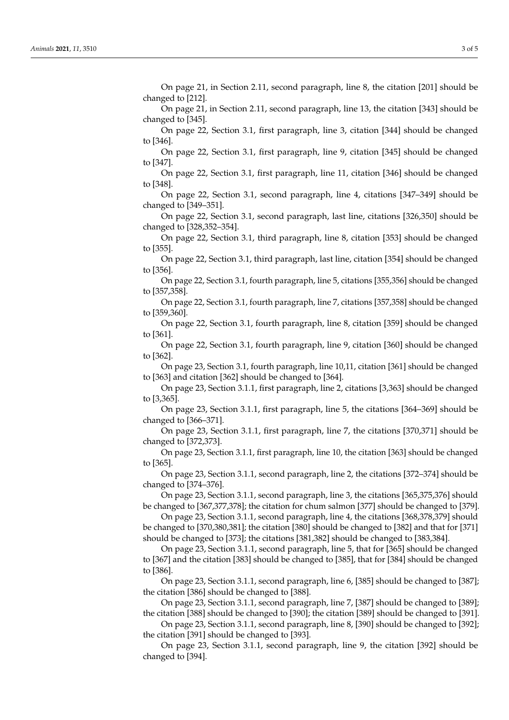On page 21, in Section 2.11, second paragraph, line 8, the citation [201] should be changed to [212].

On page 21, in Section 2.11, second paragraph, line 13, the citation [343] should be changed to [345].

On page 22, Section 3.1, first paragraph, line 3, citation [344] should be changed to [346].

On page 22, Section 3.1, first paragraph, line 9, citation [345] should be changed to [347].

On page 22, Section 3.1, first paragraph, line 11, citation [346] should be changed to [348].

On page 22, Section 3.1, second paragraph, line 4, citations [347–349] should be changed to [349–351].

On page 22, Section 3.1, second paragraph, last line, citations [326,350] should be changed to [328,352–354].

On page 22, Section 3.1, third paragraph, line 8, citation [353] should be changed to [355].

On page 22, Section 3.1, third paragraph, last line, citation [354] should be changed to [356].

On page 22, Section 3.1, fourth paragraph, line 5, citations [355,356] should be changed to [357,358].

On page 22, Section 3.1, fourth paragraph, line 7, citations [357,358] should be changed to [359,360].

On page 22, Section 3.1, fourth paragraph, line 8, citation [359] should be changed to [361].

On page 22, Section 3.1, fourth paragraph, line 9, citation [360] should be changed to [362].

On page 23, Section 3.1, fourth paragraph, line 10,11, citation [361] should be changed to [363] and citation [362] should be changed to [364].

On page 23, Section 3.1.1, first paragraph, line 2, citations [3,363] should be changed to [3,365].

On page 23, Section 3.1.1, first paragraph, line 5, the citations [364–369] should be changed to [366–371].

On page 23, Section 3.1.1, first paragraph, line 7, the citations [370,371] should be changed to [372,373].

On page 23, Section 3.1.1, first paragraph, line 10, the citation [363] should be changed to [365].

On page 23, Section 3.1.1, second paragraph, line 2, the citations [372–374] should be changed to [374–376].

On page 23, Section 3.1.1, second paragraph, line 3, the citations [365,375,376] should be changed to [367,377,378]; the citation for chum salmon [377] should be changed to [379].

On page 23, Section 3.1.1, second paragraph, line 4, the citations [368,378,379] should be changed to [370,380,381]; the citation [380] should be changed to [382] and that for [371] should be changed to [373]; the citations [381,382] should be changed to [383,384].

On page 23, Section 3.1.1, second paragraph, line 5, that for [365] should be changed to [367] and the citation [383] should be changed to [385], that for [384] should be changed to [386].

On page 23, Section 3.1.1, second paragraph, line 6, [385] should be changed to [387]; the citation [386] should be changed to [388].

On page 23, Section 3.1.1, second paragraph, line 7, [387] should be changed to [389]; the citation [388] should be changed to [390]; the citation [389] should be changed to [391].

On page 23, Section 3.1.1, second paragraph, line 8, [390] should be changed to [392]; the citation [391] should be changed to [393].

On page 23, Section 3.1.1, second paragraph, line 9, the citation [392] should be changed to [394].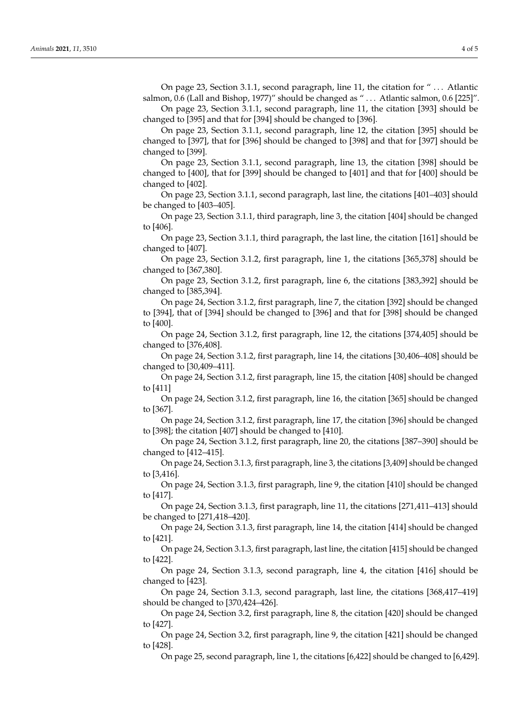On page 23, Section 3.1.1, second paragraph, line 11, the citation for " . . . Atlantic salmon, 0.6 (Lall and Bishop, 1977)" should be changed as " . . . Atlantic salmon, 0.6 [225]".

On page 23, Section 3.1.1, second paragraph, line 11, the citation [393] should be changed to [395] and that for [394] should be changed to [396].

On page 23, Section 3.1.1, second paragraph, line 12, the citation [395] should be changed to [397], that for [396] should be changed to [398] and that for [397] should be changed to [399].

On page 23, Section 3.1.1, second paragraph, line 13, the citation [398] should be changed to [400], that for [399] should be changed to [401] and that for [400] should be changed to [402].

On page 23, Section 3.1.1, second paragraph, last line, the citations [401–403] should be changed to [403–405].

On page 23, Section 3.1.1, third paragraph, line 3, the citation [404] should be changed to [406].

On page 23, Section 3.1.1, third paragraph, the last line, the citation [161] should be changed to [407].

On page 23, Section 3.1.2, first paragraph, line 1, the citations [365,378] should be changed to [367,380].

On page 23, Section 3.1.2, first paragraph, line 6, the citations [383,392] should be changed to [385,394].

On page 24, Section 3.1.2, first paragraph, line 7, the citation [392] should be changed to [394], that of [394] should be changed to [396] and that for [398] should be changed to [400].

On page 24, Section 3.1.2, first paragraph, line 12, the citations [374,405] should be changed to [376,408].

On page 24, Section 3.1.2, first paragraph, line 14, the citations [30,406–408] should be changed to [30,409–411].

On page 24, Section 3.1.2, first paragraph, line 15, the citation [408] should be changed to [411]

On page 24, Section 3.1.2, first paragraph, line 16, the citation [365] should be changed to [367].

On page 24, Section 3.1.2, first paragraph, line 17, the citation [396] should be changed to [398]; the citation [407] should be changed to [410].

On page 24, Section 3.1.2, first paragraph, line 20, the citations [387–390] should be changed to [412–415].

On page 24, Section 3.1.3, first paragraph, line 3, the citations [3,409] should be changed to [3,416].

On page 24, Section 3.1.3, first paragraph, line 9, the citation [410] should be changed to [417].

On page 24, Section 3.1.3, first paragraph, line 11, the citations [271,411–413] should be changed to [271,418–420].

On page 24, Section 3.1.3, first paragraph, line 14, the citation [414] should be changed to [421].

On page 24, Section 3.1.3, first paragraph, last line, the citation [415] should be changed to [422].

On page 24, Section 3.1.3, second paragraph, line 4, the citation [416] should be changed to [423].

On page 24, Section 3.1.3, second paragraph, last line, the citations [368,417–419] should be changed to [370,424–426].

On page 24, Section 3.2, first paragraph, line 8, the citation [420] should be changed to [427].

On page 24, Section 3.2, first paragraph, line 9, the citation [421] should be changed to [428].

On page 25, second paragraph, line 1, the citations [6,422] should be changed to [6,429].